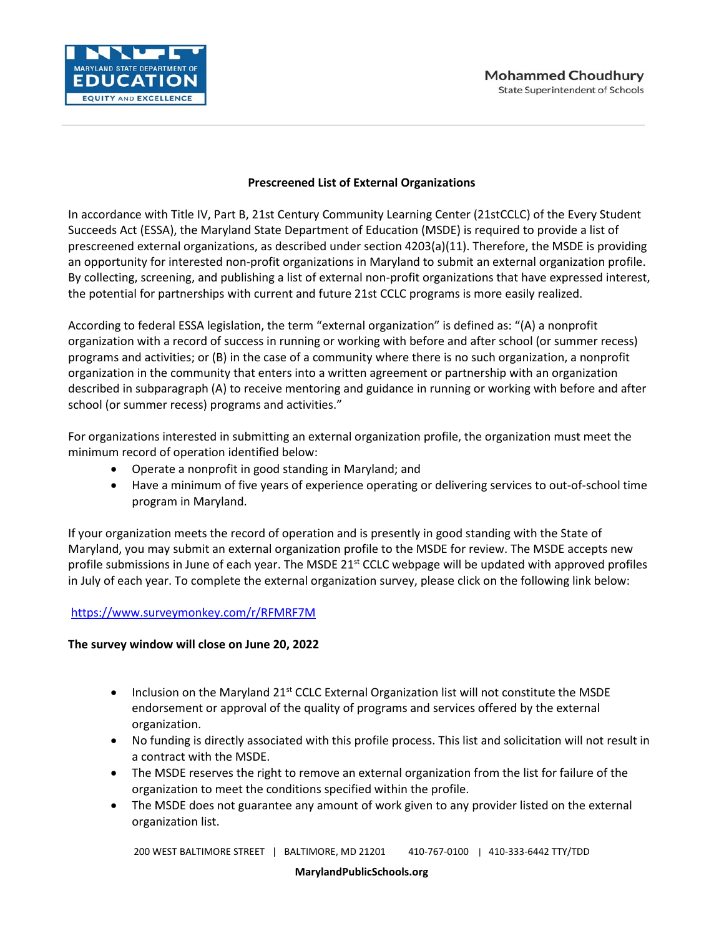

## **Prescreened List of External Organizations**

In accordance with Title IV, Part B, 21st Century Community Learning Center (21stCCLC) of the Every Student Succeeds Act (ESSA), the Maryland State Department of Education (MSDE) is required to provide a list of prescreened external organizations, as described under section 4203(a)(11). Therefore, the MSDE is providing an opportunity for interested non-profit organizations in Maryland to submit an external organization profile. By collecting, screening, and publishing a list of external non-profit organizations that have expressed interest, the potential for partnerships with current and future 21st CCLC programs is more easily realized.

According to federal ESSA legislation, the term "external organization" is defined as: "(A) a nonprofit organization with a record of success in running or working with before and after school (or summer recess) programs and activities; or (B) in the case of a community where there is no such organization, a nonprofit organization in the community that enters into a written agreement or partnership with an organization described in subparagraph (A) to receive mentoring and guidance in running or working with before and after school (or summer recess) programs and activities."

For organizations interested in submitting an external organization profile, the organization must meet the minimum record of operation identified below:

- Operate a nonprofit in good standing in Maryland; and
- Have a minimum of five years of experience operating or delivering services to out-of-school time program in Maryland.

If your organization meets the record of operation and is presently in good standing with the State of Maryland, you may submit an external organization profile to the MSDE for review. The MSDE accepts new profile submissions in June of each year. The MSDE  $21^{st}$  CCLC webpage will be updated with approved profiles in July of each year. To complete the external organization survey, please click on the following link below:

## <https://www.surveymonkey.com/r/RFMRF7M>

## **The survey window will close on June 20, 2022**

- Inclusion on the Maryland  $21^{st}$  CCLC External Organization list will not constitute the MSDE endorsement or approval of the quality of programs and services offered by the external organization.
- No funding is directly associated with this profile process. This list and solicitation will not result in a contract with the MSDE.
- The MSDE reserves the right to remove an external organization from the list for failure of the organization to meet the conditions specified within the profile.
- The MSDE does not guarantee any amount of work given to any provider listed on the external organization list.